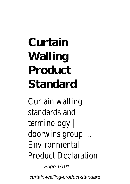# **Curtain Walling Product Standard**

Curtain walling standards and terminology | doorwins group ... Environmental Product Declaration

Page 1/101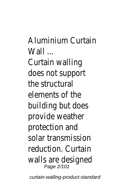Aluminium Curtain  $Mall$ 

Curtain walling does not support the structural elements of the building but does provide weather protection and solar transmission reduction. Curtain walls are designed Page 2/101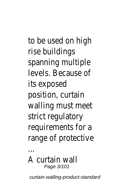to be used on high rise buildings spanning multiple levels. Because of its exposed position, curtain walling must meet strict regulatory requirements for a range of protective

### A curtain wall Page 3/101

...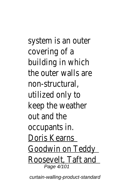system is an outer covering of a building in which the outer walls are non-structural, utilized only to keep the weather out and the occupants in. Doris Kearns Goodwin on Teddy Roosevelt, Taft and Page 4/101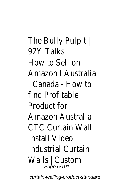The Bully Pulpit | 92Y Talks How to Sell on Amazon l Australia l Canada - How to find Profitable Product for Amazon Australia CTC Curtain Wall Install Video Industrial Curtain Walls  $\bigcup_{\text{Page } 5/101}$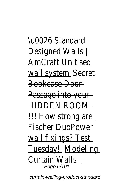\u0026 Standard Designed Walls | AmCraftUnitised wall systessecret Bookcase Door Passage into your HIDDEN ROOM !!! How strong are Fischer DuoPower wall fixings? Test Tuesday!Modeling Curtain Walls Page 6/101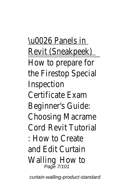\u0026 Panels in Revit (Sneakpeek) How to prepare for the Firestop Special Inspection Certificate Exam Beginner's Guide: Choosing Macrame CordRevit Tutorial : How to Create and Edit Curtain Walling How to Page 7/101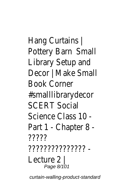Hang Curtains | Pottery Baßmall Library Setup and Decor | Make Small Book Corner #smalllibrarydecor SCERT Social Science Class 10 - Part 1 - Chapter 8 - ????? ??????????????? - Lecture 2 | Page 8/101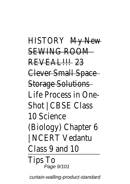HISTORY My New SEWING ROOM REVEAL!!! 23 Clever Small Space Storage Solutions Life Process in One-Shot | CBSE Class 10 Science (Biology) Chapter 6 NCERT Vedantu Class 9 and 10 Tips To

Page 9/101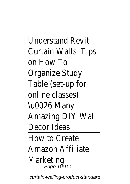Understand Revit Curtain Wallsips on How To Organize Study Table (set-up for online classes) \u0026 Many Amazing DIY Wall Decor Ideas How to Create Amazon Affiliate Marketing Page 10/101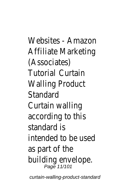Websites - Amazon Affiliate Marketing (Associates) TutorialCurtain Walling Product **Standard** Curtain walling according to this standard is intended to be used as part of the building envelope.<br>Page 11/101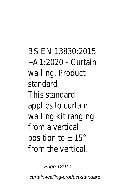BS EN 13830:2015 +A1:2020 - Curtain walling. Product standard This standard applies to curtain walling kit ranging from a vertical position to  $\pm$  15 $^{\circ}$ from the vertical.

Page 12/101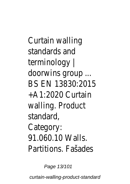Curtain walling standards and terminology | doorwins group ... BS EN 13830:2015 +A1:2020 Curtain walling. Product standard, Category: 91.060.10 Walls. Partitions. Fašades

Page 13/101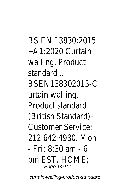BS EN 13830:2015 +A1:2020 Curtain walling. Product standard ... BSEN138302015-C urtain walling. Product standard (British Standard)- Customer Service: 212 642 4980. Mon - Fri: 8:30 am - 6 pm EST. HOME; Page 14/101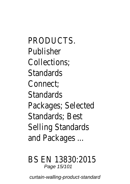PRODUCTS. Publisher Collections; Standards Connect; **Standards** Packages; Selected Standards; Best Selling Standards and Packages ...

### BS EN 13830:2015 Page 15/101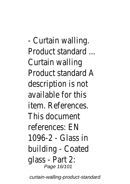- Curtain walling. Product standard ... Curtain walling Product standard A description is not available for this item. References. This document references: EN 1096-2 - Glass in building - Coated glass - Part 2: Page 16/101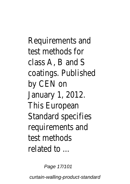Requirements and test methods for class A, B and S coatings. Published by CEN on January 1, 2012. This European Standard specifies requirements and test methods related to ...

Page 17/101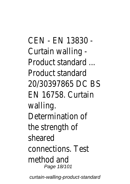CEN - EN 13830 - Curtain walling - Product standard ... Product standard 20/30397865 DC BS EN 16758. Curtain walling. Determination of the strength of sheared connections. Test method and Page 18/101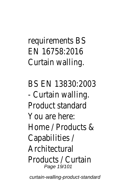# requirements BS EN 16758:2016 Curtain walling.

BS EN 13830:2003 - Curtain walling. Product standard You are here: Home / Products & Capabilities / Architectural Products / Curtain Page 19/101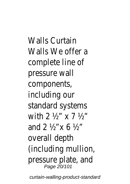Walls Curtain Walls We offer a complete line of pressure wall components, including our standard systems with 2 ½" x 7 ½" and 2 ½"x 6 ½" overall depth (including mullion, pressure plate, and Page 20/101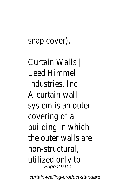### snap cover).

Curtain Walls | Leed Himmel Industries, Inc A curtain wall system is an outer covering of a building in which the outer walls are non-structural, utilized only to Page 21/101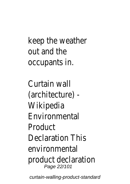# keep the weather out and the occupants in.

Curtain wall (architecture) - Wikipedia Environmental Product Declaration This environmental product declaration Page 22/101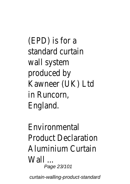(EPD) is for a standard curtain wall system produced by Kawneer (UK) Ltd in Runcorn, England.

Environmental Product Declaration Aluminium Curtain Wall ... Page 23/101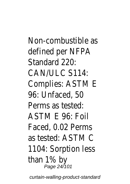Non-combustible as defined per NFPA Standard 220: CAN/ULC S114: Complies: ASTM E 96: Unfaced, 50 Perms as tested: ASTM E 96: Foil Faced, 0.02 Perms as tested: ASTM C 1104: Sorption less than 1% by Page 24/101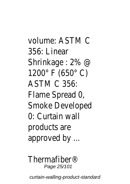volume: ASTM C 356: Linear Shrinkage : 2% @ 1200° F (650° C) ASTM C 356: Flame Spread 0, Smoke Developed 0: Curtain wall products are approved by ...

Thermafiber® Page 25/101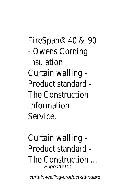FireSpan® 40 & 90 - Owens Corning Insulation Curtain walling - Product standard - The Construction Information Service.

Curtain walling - Product standard - The Construction ... Page 26/101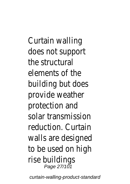Curtain walling does not support the structural elements of the building but does provide weather protection and solar transmission reduction. Curtain walls are designed to be used on high rise buildings Page 27/101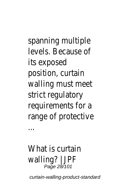spanning multiple levels. Because of its exposed position, curtain walling must meet strict regulatory requirements for a range of protective

# What is curtain walling? | JPF Page 28/101

...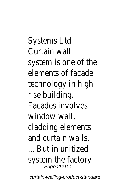Systems Ltd Curtain wall system is one of the elements of facade technology in high rise building. Facades involves window wall. cladding elements and curtain walls. ... But in unitized system the factory Page 29/101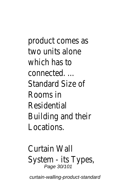product comes as two units alone which has to connected. ... Standard Size of Rooms in Residential Building and their Locations.

Curtain Wall System - its Types, Page 30/101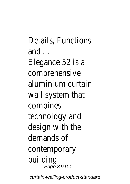Details, Functions and ...

Elegance 52 is a comprehensive aluminium curtain wall system that combines technology and design with the demands of contemporary building Page 31/101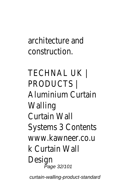## architecture and construction.

TECHNAL UK | PRODUCTS | Aluminium Curtain **Walling** Curtain Wall Systems 3 Contents www.kawneer.co.u k Curtain Wall Design Page 32/101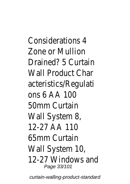Considerations 4 Zone or Mullion Drained? 5 Curtain Wall Product Char acteristics/Regulati ons 6 AA 100 50mm Curtain Wall System 8, 12-27 AA 110 65mm Curtain Wall System 10, 12-27 Windows and Page 33/101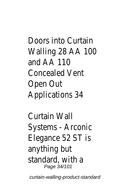Doors into Curtain Walling 28 AA 100 and AA 110 Concealed Vent Open Out Applications 34

Curtain Wall Systems - Arconic Elegance 52 ST is anything but standard, with a Page 34/101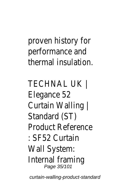# proven history for performance and thermal insulation.

TECHNAL UK | Elegance 52 Curtain Walling | Standard (ST) Product Reference : SF52 Curtain Wall System: Internal framing Page 35/101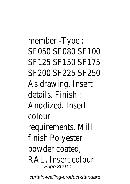member -Type : SF050 SF080 SF100 SF125 SF150 SF175 SF200 SF225 SF250 As drawing. Insert details. Finish : Anodized. Insert colour requirements. Mill finish Polyester powder coated, RAL. Insert colour Page 36/101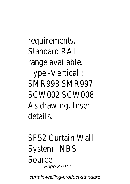requirements. Standard RAL range available. Type -Vertical : SMR998 SMR997 SCW002 SCW008 As drawing. Insert details.

SF52 Curtain Wall System | NBS Source Page 37/101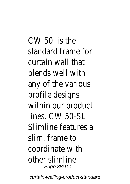CW 50. is the standard frame for curtain wall that blends well with any of the various profile designs within our product lines. CW 50-SL Slimline features a slim. frame to coordinate with other slimline Page 38/101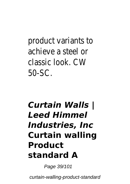product variants to achieve a steel or classic look. CW 50-SC.

## *Curtain Walls | Leed Himmel Industries, Inc* **Curtain walling Product standard A**

Page 39/101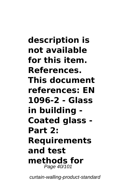**description is not available for this item. References. This document references: EN 1096-2 - Glass in building - Coated glass - Part 2: Requirements and test methods for** Page 40/101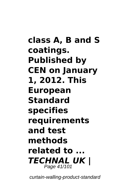**class A, B and S coatings. Published by CEN on January 1, 2012. This European Standard specifies requirements and test methods related to ...** *TECHNAL UK |* Page 41/101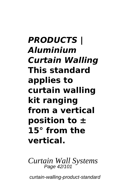*PRODUCTS | Aluminium Curtain Walling* **This standard applies to curtain walling kit ranging from a vertical position to ± 15° from the vertical.**

*Curtain Wall Systems* Page 42/101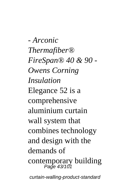*- Arconic Thermafiber® FireSpan® 40 & 90 - Owens Corning Insulation* Elegance 52 is a comprehensive aluminium curtain wall system that combines technology and design with the demands of contemporary building Page 43/101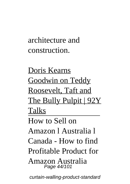architecture and construction.

Doris Kearns Goodwin on Teddy Roosevelt, Taft and The Bully Pulpit | 92Y Talks How to Sell on Amazon l Australia l

Canada - How to find

Profitable Product for

Amazon Australia Page 44/101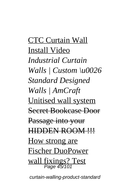CTC Curtain Wall Install Video *Industrial Curtain Walls | Custom \u0026 Standard Designed Walls | AmCraft* Unitised wall system Secret Bookcase Door Passage into your HIDDEN ROOM !!! How strong are Fischer DuoPower wall fixings? Test Page 45/101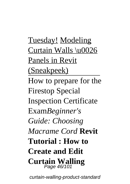Tuesday! Modeling Curtain Walls \u0026 Panels in Revit (Sneakpeek) How to prepare for the Firestop Special Inspection Certificate Exam*Beginner's Guide: Choosing Macrame Cord* **Revit Tutorial : How to Create and Edit Curtain Walling** Page 46/101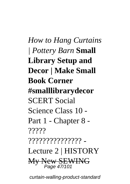*How to Hang Curtains | Pottery Barn* **Small Library Setup and Decor | Make Small Book Corner #smalllibrarydecor** SCERT Social Science Class 10 - Part 1 - Chapter 8 - ????? ??????????????? - Lecture 2 | HISTORY My New SEWING Page 47/101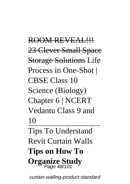ROOM REVEAL !!! 23 Clever Small Space **Storage Solutions Life** Process in One-Shot | CBSE Class 10 Science (Biology) Chapter 6 | NCERT Vedantu Class 9 and 10 Tips To Understand Revit Curtain Walls **Tips on How To Organize Study** Page 48/101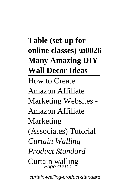**Table (set-up for online classes) \u0026 Many Amazing DIY Wall Decor Ideas** How to Create Amazon Affiliate Marketing Websites - Amazon Affiliate Marketing (Associates) Tutorial *Curtain Walling Product Standard* Curtain walling Page 49/101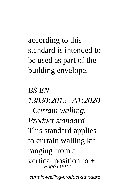according to this standard is intended to be used as part of the building envelope.

*BS EN 13830:2015+A1:2020 - Curtain walling. Product standard* This standard applies to curtain walling kit ranging from a vertical position to  $\pm$ <br>Page 50/101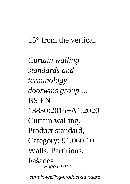## 15° from the vertical.

*Curtain walling standards and terminology | doorwins group ...* BS EN 13830:2015+A1:2020 Curtain walling. Product standard, Category: 91.060.10 Walls. Partitions. Fašades Page 51/101 curtain-walling-product-standard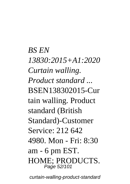*BS EN 13830:2015+A1:2020 Curtain walling. Product standard ...* BSEN138302015-Cur tain walling. Product standard (British Standard)-Customer Service: 212 642 4980. Mon - Fri: 8:30 am - 6 pm EST. HOME; PRODUCTS. Page 52/101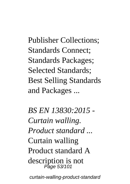Publisher Collections; Standards Connect; Standards Packages; Selected Standards; Best Selling Standards and Packages ...

*BS EN 13830:2015 - Curtain walling. Product standard ...* Curtain walling Product standard A description is not Page 53/101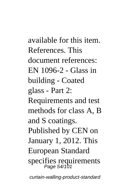available for this item. References. This document references: EN 1096-2 - Glass in building - Coated glass - Part 2: Requirements and test methods for class A, B and S coatings. Published by CEN on January 1, 2012. This European Standard specifies requirements Page 54/101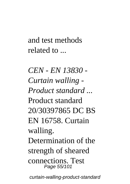and test methods related to ...

*CEN - EN 13830 - Curtain walling - Product standard ...* Product standard 20/30397865 DC BS EN 16758. Curtain walling. Determination of the strength of sheared connections. Test Page 55/101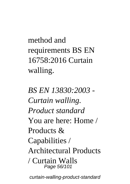method and requirements BS EN 16758:2016 Curtain walling.

*BS EN 13830:2003 - Curtain walling. Product standard* You are here: Home / Products & Capabilities / Architectural Products / Curtain Walls Page 56/101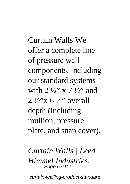Curtain Walls We offer a complete line of pressure wall components, including our standard systems with  $2\frac{1}{2}$ " x  $7\frac{1}{2}$ " and  $2\frac{1}{2}$  x 6  $\frac{1}{2}$  overall depth (including mullion, pressure plate, and snap cover).

*Curtain Walls | Leed Himmel Industries,* Page 57/101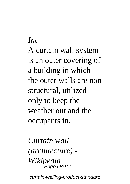*Inc* A curtain wall system is an outer covering of a building in which the outer walls are nonstructural, utilized only to keep the weather out and the occupants in.

*Curtain wall (architecture) - Wikipedia* Page 58/101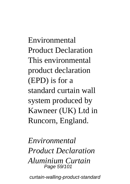Environmental Product Declaration This environmental product declaration (EPD) is for a standard curtain wall system produced by Kawneer (UK) Ltd in Runcorn, England.

*Environmental Product Declaration Aluminium Curtain* Page 59/101 curtain-walling-product-standard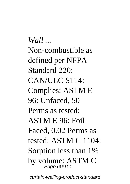*Wall ...* Non-combustible as defined per NFPA Standard 220<sup>.</sup> CAN/ULC S114: Complies: ASTM E 96: Unfaced, 50 Perms as tested: ASTM E 96: Foil Faced, 0.02 Perms as tested: ASTM C 1104: Sorption less than 1% by volume: ASTM C Page 60/101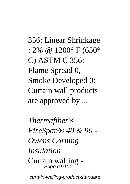356: Linear Shrinkage : 2% @ 1200° F (650° C) ASTM C 356: Flame Spread 0, Smoke Developed 0: Curtain wall products are approved by ...

*Thermafiber® FireSpan® 40 & 90 - Owens Corning Insulation* Curtain walling - Page 61/101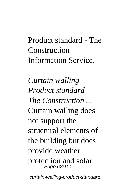## Product standard - The Construction Information Service.

*Curtain walling - Product standard - The Construction ...* Curtain walling does not support the structural elements of the building but does provide weather protection and solar Page 62/101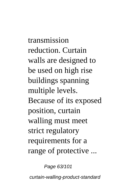transmission reduction. Curtain walls are designed to be used on high rise buildings spanning multiple levels. Because of its exposed position, curtain walling must meet strict regulatory requirements for a range of protective ...

Page 63/101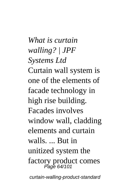*What is curtain walling? | JPF Systems Ltd* Curtain wall system is one of the elements of facade technology in high rise building. Facades involves window wall, cladding elements and curtain walls. ... But in unitized system the factory product comes Page 64/101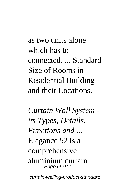as two units alone which has to connected. ... Standard Size of Rooms in Residential Building and their Locations.

*Curtain Wall System its Types, Details, Functions and ...* Elegance 52 is a comprehensive aluminium curtain Page 65/101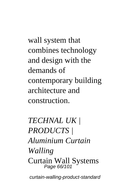wall system that combines technology and design with the demands of contemporary building architecture and construction.

*TECHNAL UK | PRODUCTS | Aluminium Curtain Walling* Curtain Wall Systems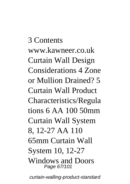3 Contents www.kawneer.co.uk Curtain Wall Design Considerations 4 Zone or Mullion Drained? 5 Curtain Wall Product Characteristics/Regula tions 6 AA 100 50mm Curtain Wall System 8, 12-27 AA 110 65mm Curtain Wall System 10, 12-27 Windows and Doors Page 67/101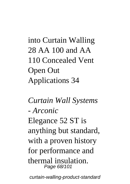into Curtain Walling 28 AA 100 and AA 110 Concealed Vent Open Out Applications 34

*Curtain Wall Systems - Arconic* Elegance 52 ST is anything but standard, with a proven history for performance and thermal insulation. Page 68/101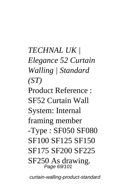*TECHNAL UK | Elegance 52 Curtain Walling | Standard (ST)* Product Reference : SF52 Curtain Wall System: Internal framing member -Type : SF050 SF080 SF100 SF125 SF150 SF175 SF200 SF225 SF250 As drawing. Page 69/101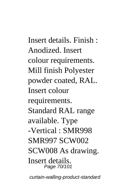Insert details. Finish : Anodized. Insert colour requirements. Mill finish Polyester powder coated, RAL. Insert colour requirements. Standard RAL range available. Type -Vertical : SMR998 SMR997 SCW002 SCW008 As drawing. Insert details. Page 70/101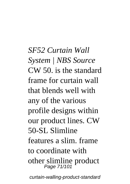*SF52 Curtain Wall System | NBS Source* CW 50. is the standard frame for curtain wall that blends well with any of the various profile designs within our product lines. CW 50-SL Slimline features a slim. frame to coordinate with other slimline product Page 71/101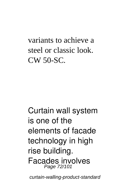variants to achieve a steel or classic look. CW 50-SC.

Curtain wall system is one of the elements of facade technology in high rise building. Facades involves Page 72/101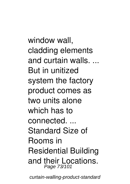window wall, cladding elements and curtain walls.  $\hspace{0.1mm}$ But in unitized system the factory product comes as two units alone which has to connected. ... Standard Size of Rooms in Residential Building and their Locations. Page 73/101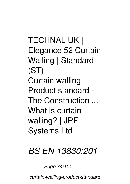*TECHNAL UK | Elegance 52 Curtain Walling | Standard (ST) Curtain walling - Product standard - The Construction ... What is curtain walling? | JPF Systems Ltd*

#### *BS EN 13830:201*

#### Page 74/101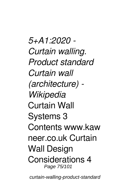*5+A1:2020 - Curtain walling. Product standard Curtain wall (architecture) - Wikipedia* Curtain Wall Systems 3 Contents www.kaw neer.co.uk Curtain Wall Design Considerations 4 Page 75/101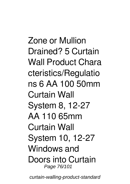Zone or Mullion Drained? 5 Curtain Wall Product Chara cteristics/Regulatio ns 6 AA 100 50mm Curtain Wall System 8, 12-27 AA 110 65mm Curtain Wall System 10, 12-27 Windows and Doors into Curtain Page 76/101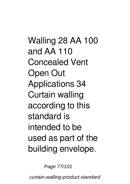Walling 28 AA 100 and AA 110 Concealed Vent Open Out Applications 34 Curtain walling according to this standard is intended to be used as part of the building envelope.

Page 77/101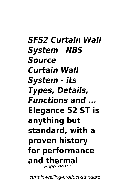*SF52 Curtain Wall System | NBS Source Curtain Wall System - its Types, Details, Functions and ...* **Elegance 52 ST is anything but standard, with a proven history for performance and thermal** Page 78/101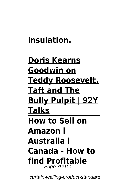### **insulation.**

#### **Doris Kearns Goodwin on Teddy Roosevelt, Taft and The Bully Pulpit | 92Y Talks How to Sell on Amazon l Australia l Canada - How to find Profitable** Page 79/101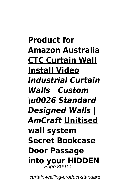**Product for Amazon Australia CTC Curtain Wall Install Video** *Industrial Curtain Walls | Custom \u0026 Standard Designed Walls | AmCraft* **Unitised wall system Secret Bookcase Door Passage into your HIDDEN** Page 80/101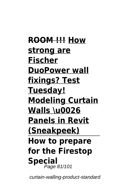**ROOM !!! How strong are Fischer DuoPower wall fixings? Test Tuesday! Modeling Curtain Walls \u0026 Panels in Revit (Sneakpeek) How to prepare for the Firestop Special** Page 81/101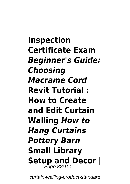**Inspection Certificate Exam** *Beginner's Guide: Choosing Macrame Cord* **Revit Tutorial : How to Create and Edit Curtain Walling** *How to Hang Curtains | Pottery Barn* **Small Library** Setup and Decor |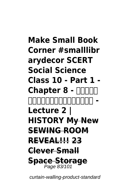#### **Make Small Book Corner #smalllibr arydecor SCERT Social Science Class 10 - Part 1 -** Chapter 8 - **ANADE ആധുനികതയിലേക്ക് - Lecture 2 | HISTORY My New SEWING ROOM REVEAL!!! 23 Clever Small Space Storage** Page 83/101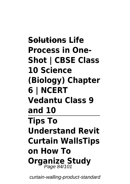**Solutions Life Process in One-Shot | CBSE Class 10 Science (Biology) Chapter 6 | NCERT Vedantu Class 9 and 10 Tips To Understand Revit Curtain WallsTips on How To Organize Study** Page 84/101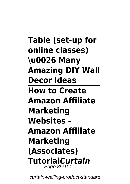**Table (set-up for online classes) \u0026 Many Amazing DIY Wall Decor Ideas How to Create Amazon Affiliate Marketing Websites - Amazon Affiliate Marketing (Associates) Tutorial***Curtain* Page 85/101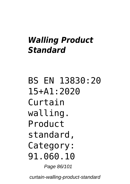#### *Walling Product Standard*

BS EN 13830:20 15+A1:2020 Curtain walling. Product standard, Category: 91.060.10 Page 86/101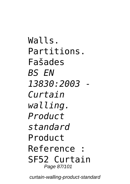Walls. Partitions. Fašades *BS EN 13830:2003 - Curtain walling. Product standard* Product Reference : SF52 Curtain Page 87/101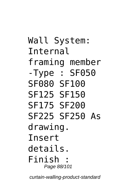Wall System: Internal framing member -Type : SF050 SF080 SF100 SF125 SF150 SF175 SF200 SF225 SF250 As drawing. Insert details. Finish : Page 88/101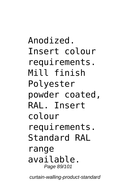Anodized. Insert colour requirements. Mill finish Polyester powder coated, RAL. Insert colour requirements. Standard RAL range available. Page 89/101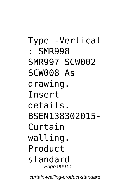Type -Vertical : SMR998 SMR997 SCW002 SCW008 As drawing. Insert details. BSEN138302015- Curtain walling. Product standard Page 90/101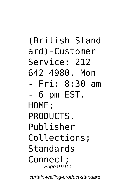(British Stand ard)-Customer Service: 212 642 4980. Mon - Fri: 8:30 am - 6 pm EST. HOME; PRODUCTS. Publisher Collections; Standards Connect; Page 91/101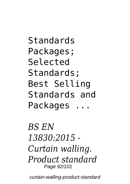Standards Packages; Selected Standards; Best Selling Standards and Packages ...

*BS EN 13830:2015 - Curtain walling. Product standard* Page 92/101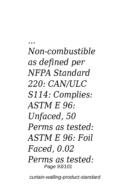*... Non-combustible as defined per NFPA Standard 220: CAN/ULC S114: Complies: ASTM E 96: Unfaced, 50 Perms as tested: ASTM E 96: Foil Faced, 0.02 Perms as tested:* Page 93/101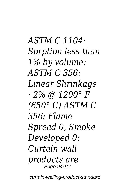*ASTM C 1104: Sorption less than 1% by volume: ASTM C 356: Linear Shrinkage : 2% @ 1200° F (650° C) ASTM C 356: Flame Spread 0, Smoke Developed 0: Curtain wall products are* Page 94/101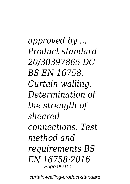*approved by ... Product standard 20/30397865 DC BS EN 16758. Curtain walling. Determination of the strength of sheared connections. Test method and requirements BS EN 16758:2016* Page 95/101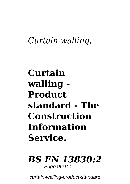## *Curtain walling.*

## **Curtain walling - Product standard - The Construction Information Service.**

#### *BS EN 13830:2* Page 96/101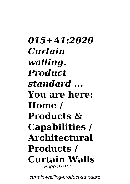*015+A1:2020 Curtain walling. Product standard ...* **You are here: Home / Products & Capabilities / Architectural Products / Curtain Walls** Page 97/101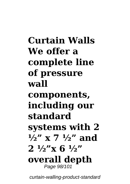**Curtain Walls We offer a complete line of pressure wall components, including our standard systems with 2 ½" x 7 ½" and 2 ½"x 6 ½" overall depth** Page 98/101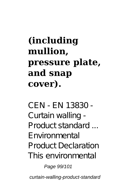# **(including mullion, pressure plate, and snap cover).**

*CEN - EN 13830 - Curtain walling - Product standard ...* Environmental Product Declaration This environmental

Page 99/101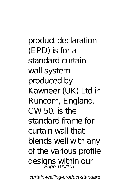product declaration (EPD) is for a standard curtain wall system produced by Kawneer (UK) Ltd in Runcorn, England. CW 50. is the standard frame for curtain wall that blends well with any of the various profile designs within our<br>Page 100/101